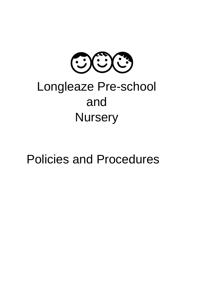

# Longleaze Pre-school and **Nursery**

## Policies and Procedures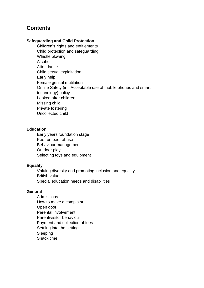## **Contents**

#### **Safeguarding and Child Protection**

Children's rights and entitlements Child protection and safeguarding Whistle blowing Alcohol **Attendance** Child sexual exploitation Early help Female genital mutilation Online Safety (inl. Acceptable use of mobile phones and smart technology) policy Looked after children Missing child Private fostering Uncollected child

#### **Education**

Early years foundation stage Peer on peer abuse Behaviour management Outdoor play Selecting toys and equipment

#### **Equality**

Valuing diversity and promoting inclusion and equality British values Special education needs and disabilities

#### **General**

Admissions How to make a complaint Open door Parental involvement Parent/visitor behaviour Payment and collection of fees Settling into the setting Sleeping Snack time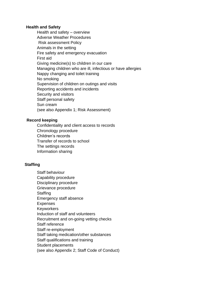#### **Health and Safety**

Health and safety – overview Adverse Weather Procedures Risk assessment Policy Animals in the setting Fire safety and emergency evacuation First aid Giving medicine(s) to children in our care Managing children who are ill, infectious or have allergies Nappy changing and toilet training No smoking Supervision of children on outings and visits Reporting accidents and incidents Security and visitors Staff personal safety Sun cream (see also Appendix 1; Risk Assessment)

#### **Record keeping**

Confidentiality and client access to records Chronology procedure Children's records Transfer of records to school The settings records Information sharing

#### **Staffing**

Staff behaviour Capability procedure Disciplinary procedure Grievance procedure **Staffing** Emergency staff absence Expenses **Keyworkers** Induction of staff and volunteers Recruitment and on-going vetting checks Staff reference Staff re-employment Staff taking medication/other substances Staff qualifications and training Student placements (see also Appendix 2; Staff Code of Conduct)